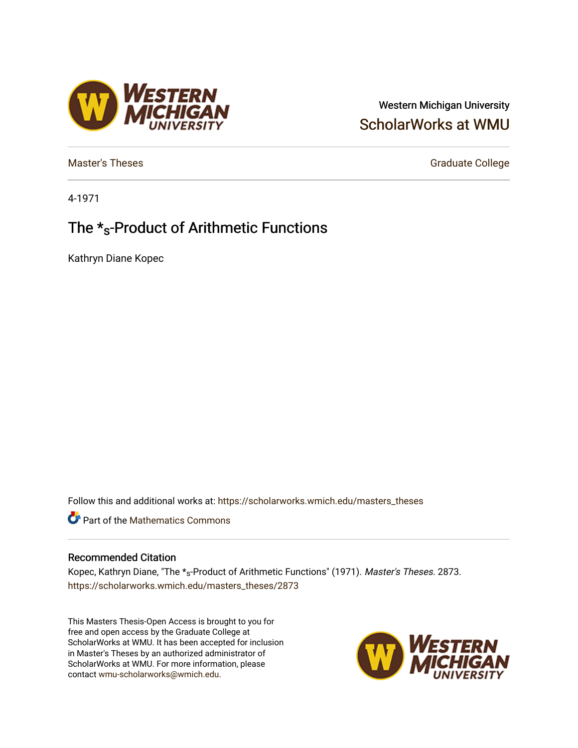## Western Michigan University [ScholarWorks at WMU](https://scholarworks.wmich.edu/)

[Master's Theses](https://scholarworks.wmich.edu/masters_theses) Graduate College

4-1971

# The \*s-Product of Arithmetic Functions

**/ESTERN<br>{|CHIGAN** 

Kathryn Diane Kopec

Follow this and additional works at: [https://scholarworks.wmich.edu/masters\\_theses](https://scholarworks.wmich.edu/masters_theses?utm_source=scholarworks.wmich.edu%2Fmasters_theses%2F2873&utm_medium=PDF&utm_campaign=PDFCoverPages) 

**Part of the [Mathematics Commons](http://network.bepress.com/hgg/discipline/174?utm_source=scholarworks.wmich.edu%2Fmasters_theses%2F2873&utm_medium=PDF&utm_campaign=PDFCoverPages)** 

### Recommended Citation

Kopec, Kathryn Diane, "The \*s-Product of Arithmetic Functions" (1971). Master's Theses. 2873. [https://scholarworks.wmich.edu/masters\\_theses/2873](https://scholarworks.wmich.edu/masters_theses/2873?utm_source=scholarworks.wmich.edu%2Fmasters_theses%2F2873&utm_medium=PDF&utm_campaign=PDFCoverPages) 

This Masters Thesis-Open Access is brought to you for free and open access by the Graduate College at ScholarWorks at WMU. It has been accepted for inclusion in Master's Theses by an authorized administrator of ScholarWorks at WMU. For more information, please contact [wmu-scholarworks@wmich.edu](mailto:wmu-scholarworks@wmich.edu).

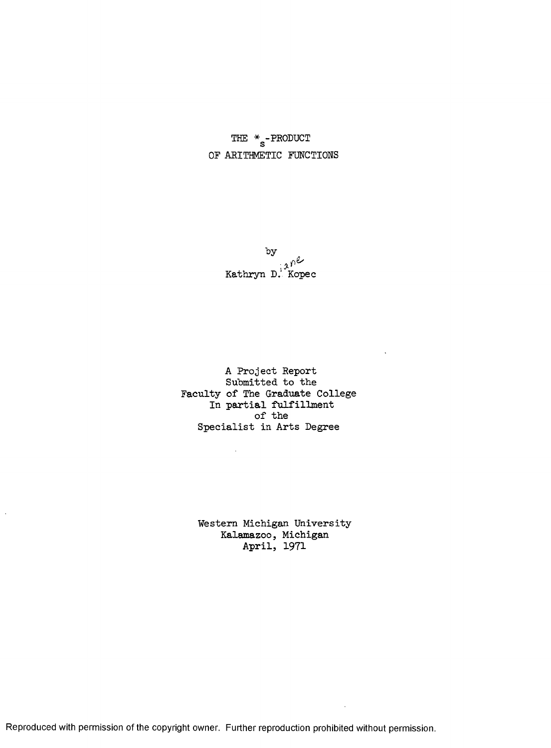THE  $\underset{\mathbf{S}}{\ast}$  -PRODUCT OF ARITHMETIC FUNCTIONS

> $\mathfrak{p}^2$ Kathryn D. Kopec

A Project Report Submitted to the Faculty of The Graduate College In partial fulfillment of the Specialist in Arts Degree

 $\bar{\alpha}$ 

 $\ddot{\phantom{a}}$ 

Western Michigan University Kalamazoo, Michigan April, 1971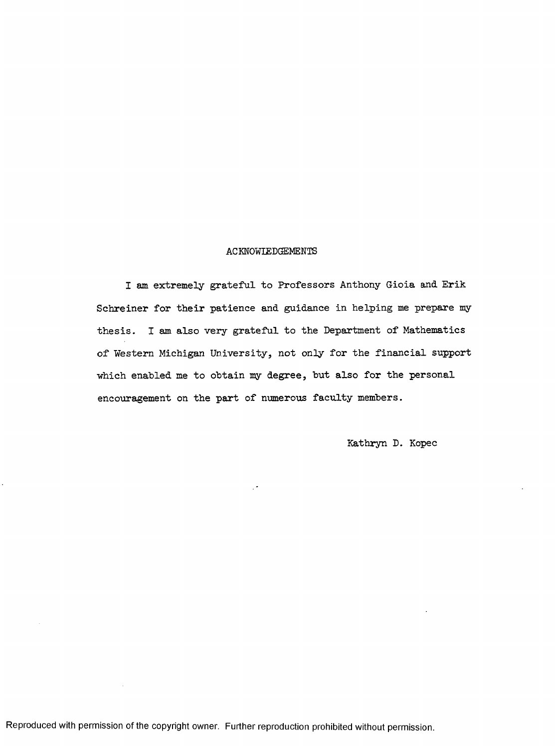#### ACKNOWLEDGEMENTS

I am extremely grateful to Professors Anthony Gioia and Erik Schreiner for their patience and guidance in helping me prepare my thesis. I am also very grateful to the Department of Mathematics of Western Michigan University, not only for the financial support which enabled me to obtain my degree, but also for the personal encouragement on the part of numerous faculty members.

Kathryn D. Kopec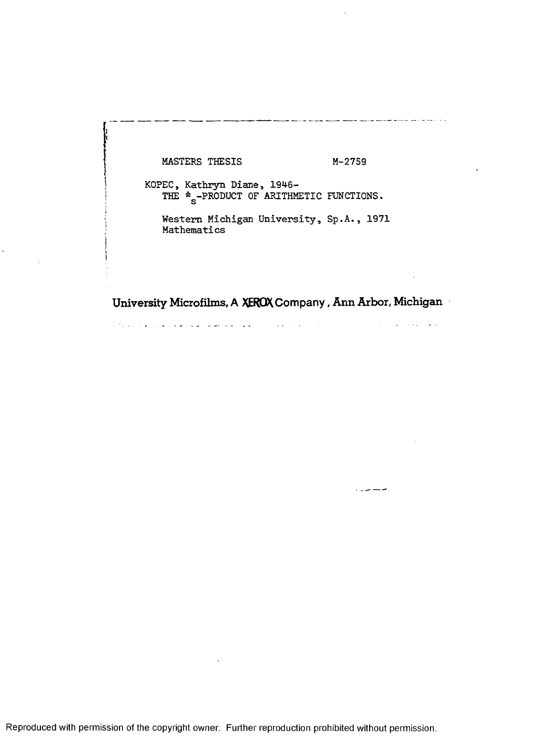MASTERS THESIS M-2759

l,

an masar masar masar masar masar masar masar sa sa sa

سنست سال روان

KOPEC, Kathryn Diane, 1946-THE  $*_{\textrm{s}}$ -PRODUCT OF ARITHMETIC FUNCTIONS.

Western Michigan University, Sp.A., 1971 Mathematics

University Microfilms, A XEROX Company, Ann Arbor, Michigan

محفل وفعالها الداريات المنادي المناورة والمتوارد القفا فكمنطق فكالمستعلم والمتورة والمتوازن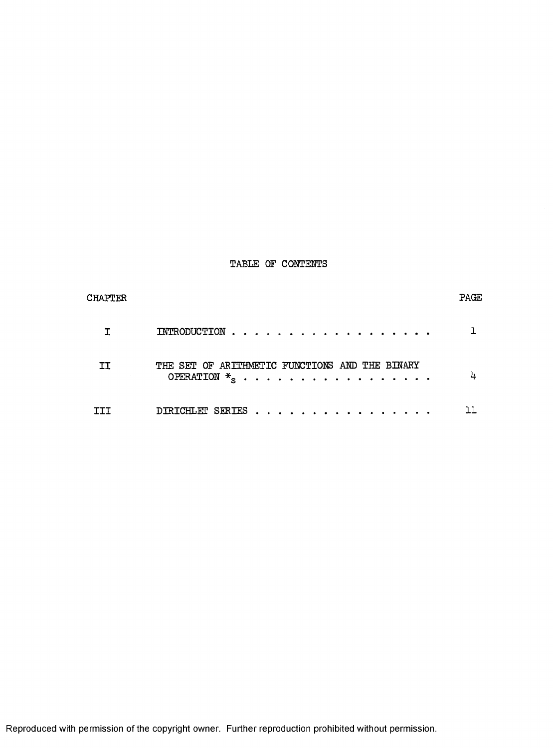## TABLE OF CONTENTS

| <b>CHAPTER</b> |                                                                   | PAGE |
|----------------|-------------------------------------------------------------------|------|
|                |                                                                   |      |
| IΙ             | THE SET OF ARTTHMETIC FUNCTIONS AND THE BINARY<br>OPERATION $*_s$ |      |
|                | $\texttt{DIRICHLET}$ SERTES $\ldots \ldots \ldots \ldots \ldots$  |      |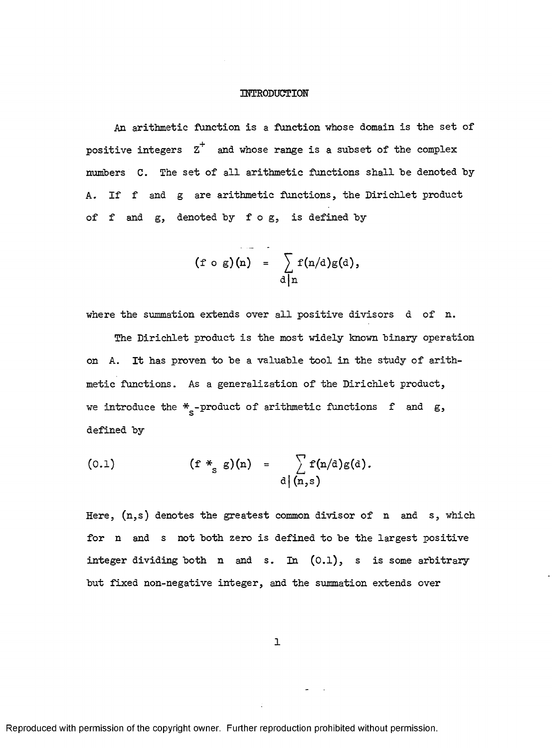### INTRODUCTION

An arithmetic function is a function whose domain is the set of positive integers  $z^+$  and whose range is a subset of the complex numbers C. The set of all arithmetic functions shall be denoted by A. If f and g are arithmetic functions, the Dirichlet product of f and  $g$ , denoted by fog, is defined by

$$
(f \circ g)(n) = \sum_{d \mid n} f(n/d)g(d),
$$

where the summation extends over all positive divisors d of n.

The Dirichlet product is the most widely known binary operation on A. It has proven to be a valuable tool in the study of arithmetic functions. As a generalization of the Dirichlet product, we introduce the  $\frac{*}{s}$ -product of arithmetic functions  $f$  and  $g,$ defined by

(0.1) 
$$
(\mathbf{f} *_{\mathbf{g}} \mathbf{g})(\mathbf{n}) = \sum_{\mathbf{d} | (\mathbf{n}, \mathbf{s})} \mathbf{f}(\mathbf{n}/\mathbf{d}) \mathbf{g}(\mathbf{d}).
$$

Here,  $(n,s)$  denotes the greatest common divisor of n and s, which for n and s not both zero is defined to be the largest positive integer dividing both n and s. In  $(0.1)$ , s is some arbitrary but fixed non-negative integer, and the summation extends over

1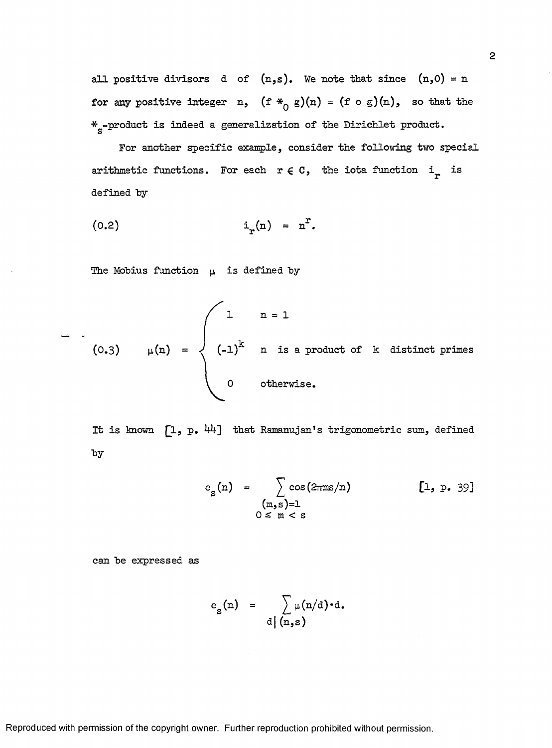all positive divisors d of  $(n,s)$ . We note that since  $(n,0) = n$ for any positive integer n,  $(f *_{0} g)(n) = (f \circ g)(n)$ , so that the  $\frac{*}{\text{s}}$ -product is indeed a generalization of the Dirichlet product.

For another specific example, consider the following two special arithmetic functions. For each  $r \in C$ , the iota function i<sub>r</sub> is defined by

$$
(0.2) \qquad \qquad \mathbf{i}_{r}(\mathbf{n}) = \mathbf{n}^{r}.
$$

The Mobius function  $\mu$  is defined by

(0.3) 
$$
\mu(n) = \begin{cases} 1 & n = 1 \\ (-1)^k & n \text{ is a product of } k \text{ distinct primes} \\ 0 & \text{otherwise.} \end{cases}
$$

It is known  $[1, p. 44]$  that Ramanujan's trigonometric sum, defined ■by

$$
c_{s}(n) = \sum_{\substack{(m,s)=1 \ 0 \le m < s}} \cos(2\pi m s/n) \qquad [1, p. 39]
$$

can be expressed as

$$
c_{S}(n) = \sum_{d \mid (n,s)} \mu(n/d) \cdot d.
$$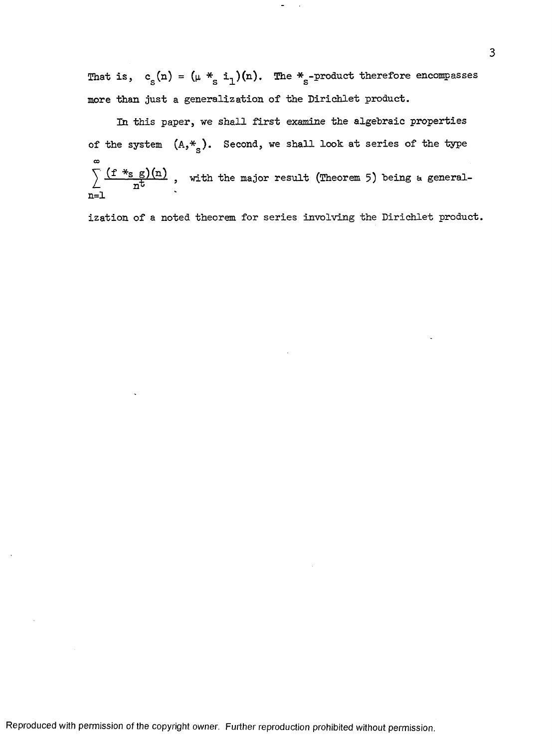That is,  $c_s(n) = (\mu *_{s} i_1)(n)$ . The  $*_{s}$ -product therefore encompasses more than just a generalization of the Dirichlet product.

In this paper, we shall first examine the algebraic properties of the system  $(A, *_{S})$ . Second, we shall look at series of the type co  $\frac{12.38 \times 10^{11}}{2}$ , with the major result (Theorem 5) being a generaln= l

ization of a noted theorem for series involving the Dirichlet product.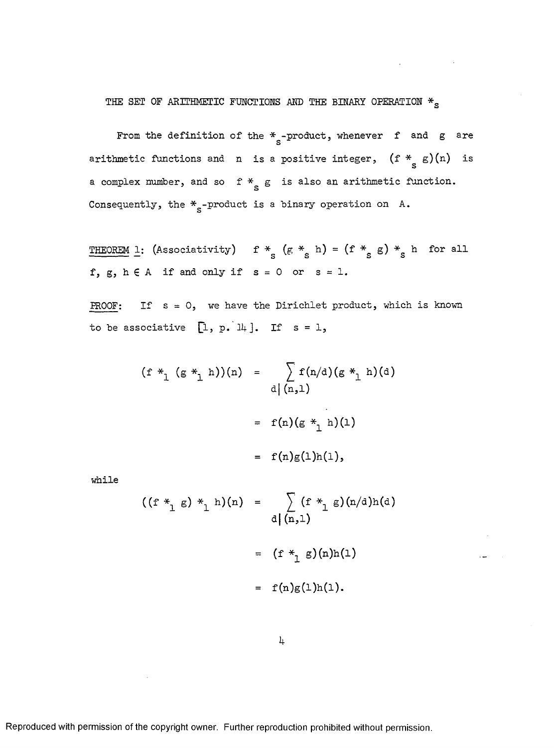## THE SET OF ARITHMETIC FUNCTIONS AND THE BINARY OPERATION  $*_{_{\mathrm{S}}}$

From the definition of the  $\frac{*}{\mathrm{s}}$ -product, whenever f and g are arithmetic functions and  $n$  is a positive integer,  $(f *_{S} g)(n)$  is a complex number, and so  $f * g$  is also an arithmetic function. Consequently, the  $\text{*}_{\texttt{s}}$ -product is a binary operation on  $\texttt{A}.$ 

THEOREM 1: (Associativity)  $f *_{s} (g *_{s} h) = (f *_{s} g) *_{s} h$  for all f, g,  $h \in A$  if and only if  $s = 0$  or  $s = 1$ .

PROOF: If  $s = 0$ , we have the Dirichlet product, which is known to be associative  $[1, p. 14].$  If  $s = 1$ ,

$$
(f *_{1} (g *_{1} h))(n) = \sum_{d | (n,1)} f(n/d) (g *_{1} h)(d)
$$
  
 $= f(n) (g *_{1} h)(1)$   
 $= f(n)g(1)h(1),$ 

while

 $\sim$   $\sim$ 

$$
((f *_{1} g) *_{1} h)(n) = \sum_{d | (n,1)} (f *_{1} g)(n/d)h(d)
$$
  

$$
= (f *_{1} g)(n)h(1)
$$

$$
= f(n)g(1)h(1).
$$

<span id="page-8-0"></span>*k*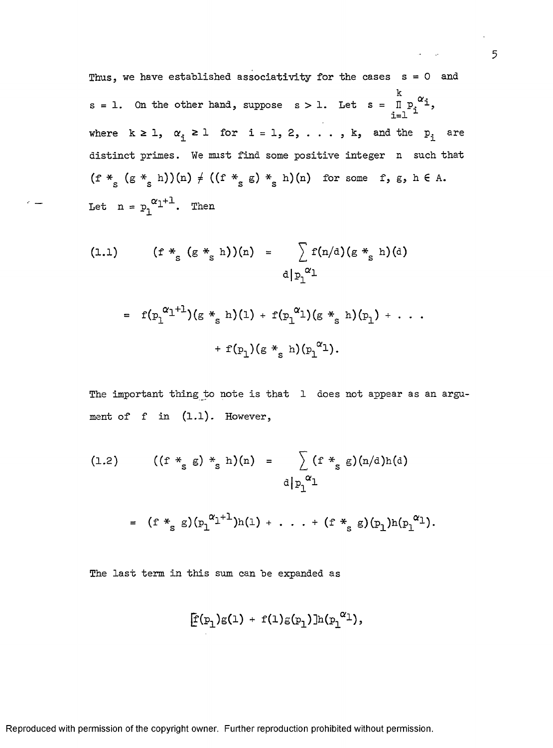Thus, we have established associativity for the cases  $s = 0$  and k  $s$  = 1. On the other hand, suppose  $s > 1$ . Let  $s = \begin{array}{ccc} \text{I} & \text{P}_1 & \text{-}1 \end{array}$  $i=1$   $$ where  $k \geq 1$ ,  $\alpha_i \geq 1$  for  $i = 1, 2, \ldots$ , k, and the  $p_i$  are distinct primes. We must find some positive integer n such that  $(f *_{s} (g *_{s} h))(n) \neq ((f *_{s} g) *_{s} h)(n)$  for some f, g, h  $\in A$ . Let  $n = p_1^{\alpha_1 + 1}$ . Then

(1.1) 
$$
(f *_{s} (g *_{s} h))(n) = \sum_{d | p_{1}^{\alpha_{1}}} f(n/d) (g *_{s} h)(d)
$$

$$
= f(p_1^{\alpha_1+1})(g *_{s} h)(1) + f(p_1^{\alpha_1})(g *_{s} h)(p_1) + \cdots
$$

$$
+ f(p_1)(g *_{s} h)(p_1^{\alpha_1}).
$$

The important thing to note is that 1 does not appear as an argument of f in  $(1.1)$ . However,

(1.2) 
$$
((f *_{s} g) *_{s} h)(n) = \sum_{d | p_{1}^{\alpha_{1}}} (f *_{s} g)(n/d)h(d)
$$

$$
= (f *_{s} g)(p_{1}^{\alpha_{1}+1})h(1) + \ldots + (f *_{s} g)(p_{1})h(p_{1}^{\alpha_{1}}).
$$

The last term in this sum can be expanded as

$$
[f(p_1)g(1) + f(1)g(p_1)]h(p_1^{\alpha_1}),
$$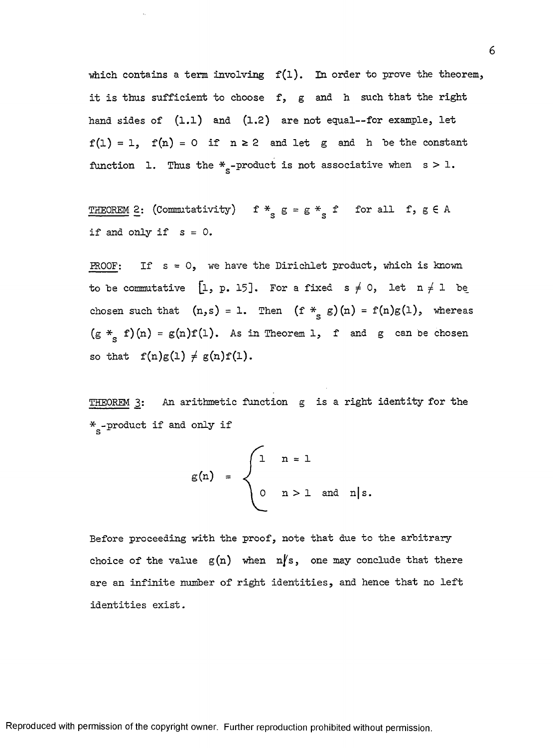which contains a term involving  $f(1)$ . In order to prove the theorem, it is thus sufficient to choose  $f$ , g and h such that the right hand sides of  $(1.1)$  and  $(1.2)$  are not equal--for example, let  $f(1) = 1$ ,  $f(n) = 0$  if  $n \ge 2$  and let g and h be the constant function 1. Thus the  $*_{s}$ -product is not associative when s > 1.

THEOREM 2: (Commutativity) f  $*_{s}$  g = g  $*_{s}$  f for all f, g  $\in$  A if and only if  $s = 0$ .

PROOF: If  $s = 0$ , we have the Dirichlet product, which is known to be commutative [1, p. 15]. For a fixed  $s \neq 0$ , let  $n \neq 1$  be chosen such that  $(n,s) = 1$ . Then  $(f *_{s} g)(n) = f(n)g(1)$ , whereas  $(g *_{s} f)(n) = g(n)f(1)$ . As in Theorem 1, f and g can be chosen so that  $f(n)g(1) \neq g(n)f(1)$ .

THEOREM 3: An arithmetic function g is a right identity for the  $\rm \ast_{e}$  -product if and only if

$$
g(n) = \begin{cases} 1 & n = 1 \\ 0 & n > 1 \text{ and } n \mid s. \end{cases}
$$

Before proceeding with the proof, note that due to the arbitrary choice of the value  $g(n)$  when  $n/s$ , one may conclude that there are an infinite number of right identities, and hence that no left identities exist.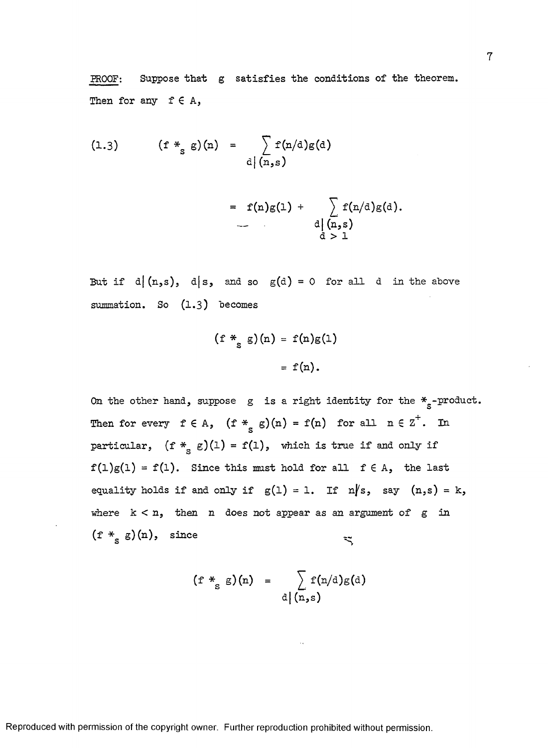PROOF: Suppose that g satisfies the conditions of the theorem. Then for any  $f \in A$ ,

(1.3) 
$$
(f *_{s} g)(n) = \sum_{d \mid (n, s)} f(n/d)g(d)
$$

$$
= f(n)g(1) + \sum_{\substack{d \mid (n,s) \\ d > 1}} f(n/d)g(d).
$$

But if  $d|(n,s)$ ,  $d|s$ , and so  $g(d) = 0$  for all d in the above summation. So  $(1.3)$  becomes

$$
(f *_{S} g)(n) = f(n)g(1)
$$

$$
= f(n).
$$

On the other hand, suppose g is a right identity for the  $*_{s}$ -product. Then for every  $f \in A$ ,  $(f *_{S} g)(n) = f(n)$  for all  $n \in Z$ . In particular,  $(f *_{s} g)(1) = f(1)$ , which is true if and only if  $f(1)g(1) = f(1)$ . Since this must hold for all  $f \in A$ , the last equality holds if and only if  $g(1) = 1$ . If  $n/s$ , say  $(n,s) = k$ , where  $k < n$ , then n does not appear as an argument of g in  $(f *_{s} g)(n)$ , since

$$
(f *_{s} g)(n) = \sum_{d \mid (n, s)} f(n/d)g(d)
$$

 $\overline{7}$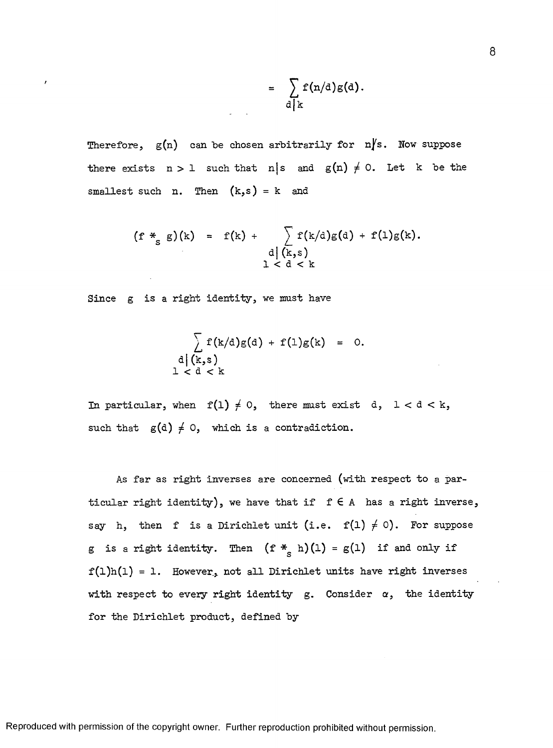$$
= \sum_{d \mid k} f(n/d) g(d).
$$

Therefore,  $g(n)$  can be chosen arbitrarily for  $n/s$ . Now suppose there exists  $n > 1$  such that n|s and  $g(n) \neq 0$ . Let k be the smallest such n. Then  $(k, s) = k$  and

$$
(f *_{S} g)(k) = f(k) + \sum_{\substack{d \mid (k,s) \\ 1 < d < k}} f(k/d)g(d) + f(1)g(k).
$$

Since g is a right identity, we must have

/

$$
\sum_{\substack{d \mid (k,s) \\ 1 < d < k}} f(k/d)g(d) + f(1)g(k) = 0.
$$

In particular, when  $f(1) \neq 0$ , there must exist d,  $1 < d < k$ , such that  $g(d) \neq 0$ , which is a contradiction.

As far as right inverses are concerned (with respect to a particular right identity), we have that if  $f \in A$  has a right inverse, say h, then f is a Dirichlet unit (i.e.  $f(1) \neq 0$ ). For suppose g is a right identity. Then  $(f *_{S} h)(1) = g(1)$  if and only if  $f(1)h(1) = 1$ . However, not all Dirichlet units have right inverses with respect to every right identity g. Consider  $\alpha$ , the identity for the Dirichlet product, defined by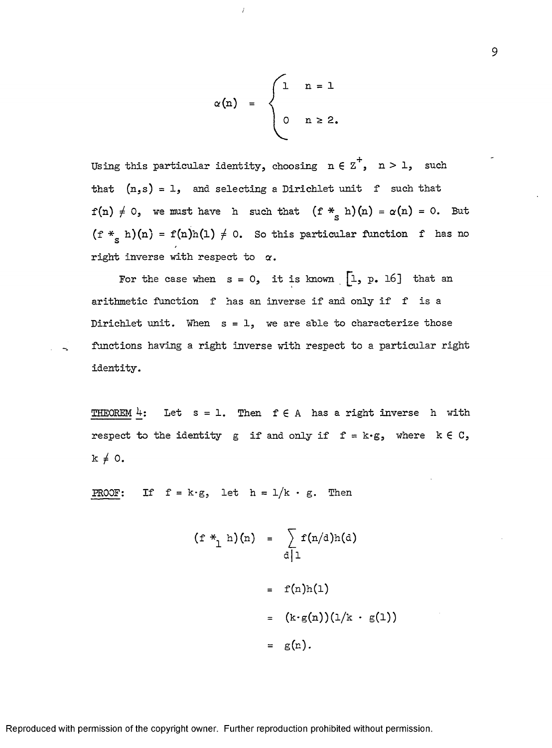$$
\alpha(n) = \begin{cases} 1 & n = 1 \\ 0 & n \ge 2. \end{cases}
$$

 $\bar{l}$ 

Using this particular identity, choosing  $n \in \overline{Z}^+$ ,  $n > 1$ , such that  $(n,s) = 1$ , and selecting a Dirichlet unit f such that  $f(n) \neq 0$ , we must have h such that  $(f *_{S} h) (n) = \alpha (n) = 0$ . But  $(f *_{s} h)(n) = f(n)h(1) \neq 0$ . So this particular function f has no right inverse with respect to  $\alpha$ .

For the case when  $s = 0$ , it is known  $\begin{bmatrix} 1 & p & 16 \end{bmatrix}$  that an arithmetic function f has an inverse if and only if f is a Dirichlet unit. When  $s = 1$ , we are able to characterize those functions having a right inverse with respect to a particular right identity.

THEOREM  $4$ : Let  $s = 1$ . Then  $f \in A$  has a right inverse h with re spect to the identity g if and only if  $f = k \cdot g$ , where  $k \in C$ ,  $k \neq 0$ .

**PROOF:** If  $f = k \cdot g$ , let  $h = 1/k \cdot g$ . Then

$$
(f *_{1} h)(n) = \sum_{d|1} f(n/d)h(d)
$$

$$
= f(n)h(1)
$$

$$
= (k \cdot g(n))(1/k \cdot g(1))
$$

$$
= g(n).
$$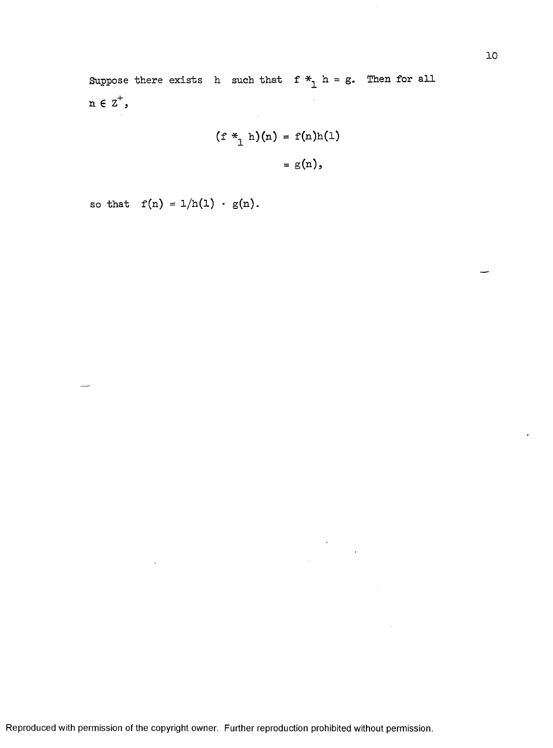Suppose there exists h such that  $f *_{1} h = g$ . Then for all  $n \in Z^+$ ,  $\mathcal{L}^{\text{max}}_{\text{max}}$  and  $\mathcal{L}^{\text{max}}_{\text{max}}$ 

$$
(f *_{1} h)(n) = f(n)h(1)
$$

$$
= g(n),
$$

so that  $f(n) = 1/h(1) \cdot g(n)$ .

 $\mathcal{A}$ 

.......

÷,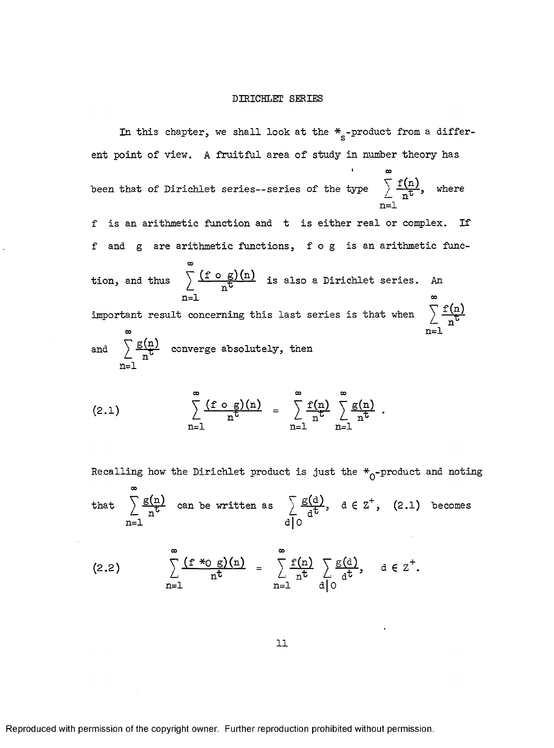#### DIRICHLET SERIES

In this chapter, we shall look at the  $*_{\mathrm{s}}$ -product from a different point of view. A fruitful area of study in number theory has

 $\cdot$   $\infty$ been that of Dirichlet series--series of the type  $\frac{1+\sqrt{11}}{n^{\frac{1}{b}}}$ , where  $n=1$ 

f is an arithmetic function and t is either real or complex. If f and g are arithmetic functions, f o g is an arithmetic func-

tion, and thus 
$$
\sum_{n=1}^{\infty} \frac{(f \circ g)(n)}{n^t}
$$
 is also a Dirichlet series. An

important result concerning this last series is that when  $\hspace{0.1 cm} \sum_{j=1}^{n-1}$  $\infty$  n=1

and 
$$
\sum_{n=1}^{\infty} \frac{g(n)}{n^b}
$$
 converge absolutely, then

(2.1) 
$$
\sum_{n=1}^{\infty} \frac{(f \circ g)(n)}{n^t} = \sum_{n=1}^{\infty} \frac{f(n)}{n^t} \sum_{n=1}^{\infty} \frac{g(n)}{n^t}.
$$

Recalling how the Dirichlet product is just the  $*_{0}$ -product and noting

 $^{\circ}$ that  $\frac{1}{2}$  can be written as  $\frac{1}{2}$  , d  $\in$  Z<sup>+</sup>, (2.1) becomes  $n=1$  d| 0

$$
(2.2) \qquad \sum_{n=1}^{\infty} \frac{(f *_{0} g)(n)}{n^{t}} = \sum_{n=1}^{\infty} \frac{f(n)}{n^{t}} \sum_{d \mid 0} \frac{g(d)}{d^{t}}, \quad d \in \mathbb{Z}^{+}.
$$

**11**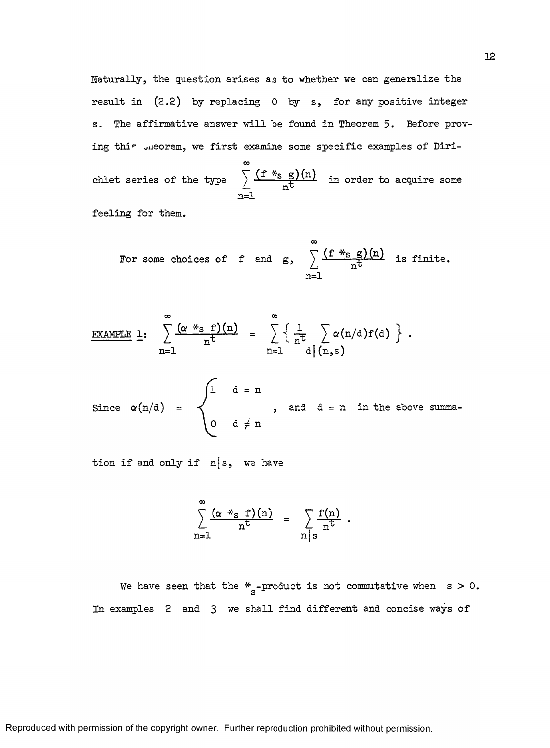Naturally, the question arises as to whether we can generalize the result in  $(2.2)$  by replacing 0 by s, for any positive integer s. The affirmative answer will be found in Theorem 5. Before proving this uneorem, we first examine some specific examples of Diri-

chlet series of the type  $\rightarrow$   $\frac{1 - 28.67}{10.1}$  in order to acquire some  $n<sub>\Gamma</sub>$ n=1

feeling for them.

For some choices of f and g, 
$$
\sum_{n=1}^{\infty} \frac{(f *_{s} g)(n)}{n^{t}}
$$
 is finite.

EXAMPLE 1: 
$$
\sum_{n=1}^{\infty} \frac{(\alpha *_{s} f)(n)}{n^{t}} = \sum_{n=1}^{\infty} \left\{ \frac{1}{n^{t}} \sum_{d | (n, s)} \alpha(n/d) f(d) \right\}.
$$

 $1$   $d = n$ Since  $\alpha(n/d)$  =  $\prec$  , and d = n in the above summa-0 d *j-* n

tion if and only if  $n|s$ , we have

$$
\sum_{n=1}^{\infty} \frac{(\alpha *_{s} f)(n)}{n^{t}} = \sum_{n \mid s} \frac{f(n)}{n^{t}}.
$$

We have seen that the  $*_{s}$ -product is not commutative when s > 0. In examples  $2$  and  $3$  we shall find different and concise ways of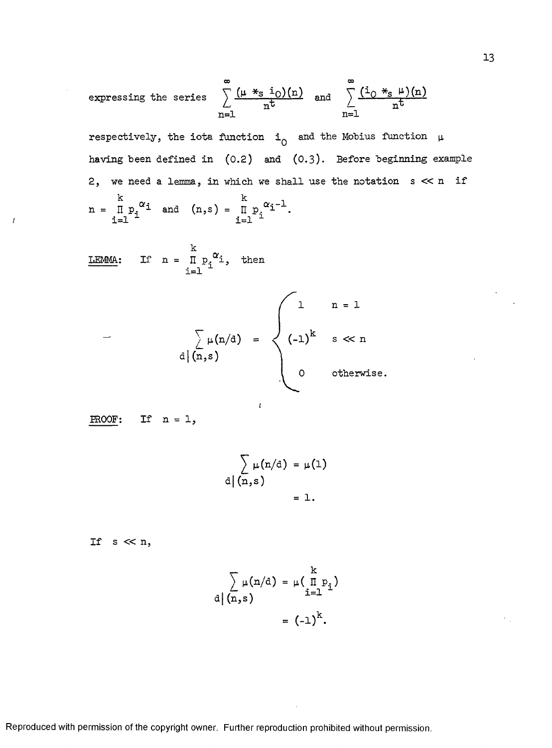expressing the series 
$$
\sum_{n=1}^{\infty} \frac{(\mu *_{s} i_{0})(n)}{n^{t}}
$$
 and 
$$
\sum_{n=1}^{\infty} \frac{(i_{0} *_{s} \mu)(n)}{n^{t}}
$$

respectively, the iota function  $i_0$  and the Mobius function  $\mu$ having been defined in  $(0.2)$  and  $(0.3)$ . Before beginning example 2, we need a lemma, in which we shall use the notation  $s \ll n$  if  $k \sim k \sim 1$  $n = \Pi p_i^{\alpha}$  and  $(n,s) = \Pi p_i^{\alpha}$ <sup>1</sup>. i=l  $^+$  i=l  $^+$ 

k LEMMA: If  $n = \Pi p_i^{\alpha_i}$ , then  $i = 1$   $\overline{\phantom{a}}$ 

$$
\left\{\begin{array}{c}\n\sum \mu(n/d) = \begin{cases}\n1 & n = 1 \\
(-1)^k & s \ll n\n\end{cases} \\
0 & \text{otherwise}\n\end{array}\right.
$$

 $\mathfrak{t}$ 

PROOF: If  $n = 1$ ,

 $\overline{1}$ 

$$
\sum_{d \mid (n,s)} \mu(n/d) = \mu(1)
$$

$$
= 1.
$$

If  $s \ll n$ ,

$$
\sum_{d \mid (n,s)} \mu(n/d) = \mu \left( \prod_{i=1}^{k} p_i \right)
$$

$$
= (-1)^k.
$$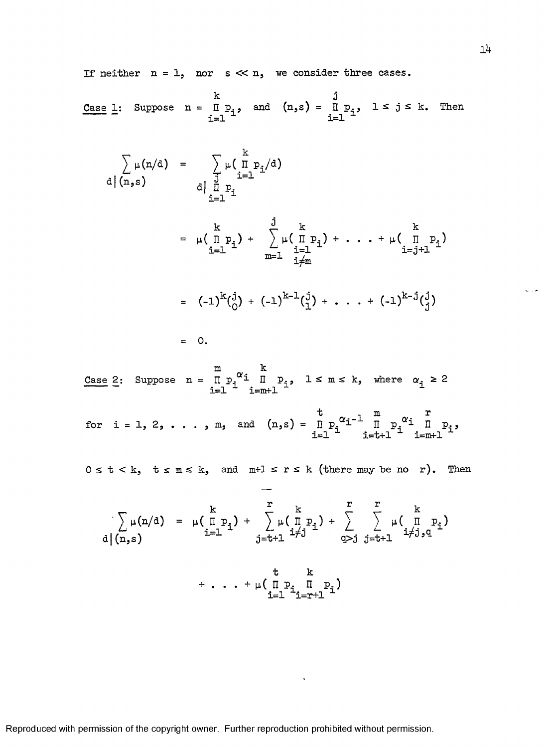If neither  $n = 1$ , nor  $s \ll n$ , we consider three cases.

Case 1: Suppose 
$$
n = \prod_{i=1}^{k} p_i
$$
, and  $(n,s) = \prod_{i=1}^{j} p_i$ ,  $1 \le j \le k$ . Then

$$
\sum_{d} \mu(n/d) = \sum_{\substack{d \text{ prime} \\ i=1}}^{n} \mu\left(\frac{1}{n} p_{i}\right)
$$
\n
$$
d \mid n,s
$$
\n
$$
d \mid \frac{1}{n} p_{i}
$$
\n
$$
= \mu\left(\frac{1}{n} p_{i}\right) + \sum_{\substack{i=1 \\ i=1}}^{n} \mu\left(\frac{1}{n} p_{i}\right) + \dots + \mu\left(\frac{1}{n} p_{i}\right)
$$
\n
$$
= (-1)^{k} \left(\frac{1}{0}\right) + (-1)^{k-1} \left(\frac{1}{1}\right) + \dots + (-1)^{k-1} \left(\frac{1}{0}\right)
$$
\n
$$
= 0.
$$
\nCase 2: Suppose  $n = \prod_{i=1}^{m} p_{i}^{\alpha_{i}} \prod_{i=m+1}^{n} p_{i}$ ,  $1 \leq m \leq k$ , where  $\alpha_{i} \geq 2$   
\nfor  $i = 1, 2, \dots, m$ , and  $(n, s) = \prod_{i=1}^{m} p_{i}^{\alpha_{i} - 1} \prod_{i=k+1}^{m} p_{i}^{\alpha_{i}} \prod_{i=m+1}^{m} p_{i}$ ,  
\n $0 \leq t \leq k$ ,  $t \leq m \leq k$ , and  $m+1 \leq r \leq k$  (there may be no r). Then  
\n
$$
\sum_{i=1}^{k} \mu(n/d) = \mu\left(\prod_{i=1}^{m} p_{i}\right) + \sum_{j=t+1}^{r} \mu\left(\prod_{i=1}^{m} p_{i}\right) + \sum_{j=t+1}^{r} \sum_{i \neq j}^{k} \mu\left(\prod_{i=1}^{m} p_{i}\right)
$$
\n
$$
d \mid (n, s)
$$

<span id="page-18-0"></span> $i = 1$   $i = r + 1$   $i =$ 

 $\mathcal{L}^{(1)}$ 

Reproduced with permission of the copyright owner. Further reproduction prohibited without permission.

 $\omega$  and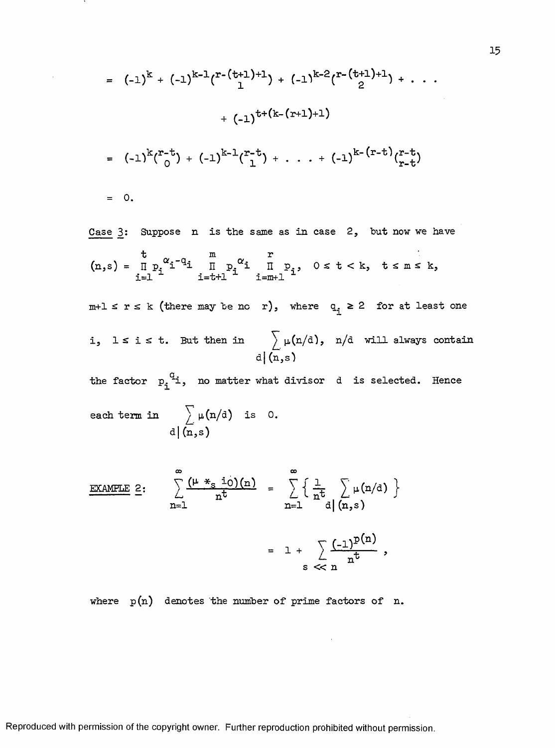$$
= (-1)^{k} + (-1)^{k-1} {r^{-(t+1)+1} \choose 1} + (-1)^{k-2} {r^{-(t+1)+1} \choose 2} + \cdots
$$
  
+ 
$$
(-1)^{t+(k-(r+1)+1)}
$$
  
= 
$$
(-1)^{k} {r^{-(t)} \choose 0} + (-1)^{k-1} {r^{-(t)} \choose 1} + \cdots + (-1)^{k-(r-t)} {r^{-(t)} \choose r-t}
$$
  
= 0.

Case 3: Suppose n is the same as in case 2, but now we have  $t$   $\sim$   $\alpha$  m  $\alpha$  r  $(n, s) = \prod p_i^{\alpha} i^{-q} i$   $\prod p_i^{\alpha} i$   $\prod p_i$ ,  $0 \leq t \leq k$ ,  $t \leq m \leq k$ ,  $i = 1$   $i = t + 1$   $i = m + 1$  $m+1 \le r \le k$  (there may be no r), where  $q_i \ge 2$  for at least one i, lsist. But then in  $\longrightarrow \mu(n/d)$ , n/d will always contain d | *(n,s)*

the factor  $p_i^q$  i, no matter what divisor d is selected. Hence  $\sum \mu(n/d)$  is 0.

each term in 
$$
\Delta(\mathbf{n}, \mathbf{s})
$$
 is d

EXAMPLE 2:  
\n
$$
\sum_{n=1}^{\infty} \frac{(\mu *_{s} i_{0})(n)}{n^{t}} = \sum_{n=1}^{\infty} \left\{ \frac{1}{n^{t}} \sum_{d | (n, s)} \mu(n/d) \right\}
$$
\n
$$
= 1 + \sum_{s \leq n} \frac{(-1)^{p(n)}}{n^{t}},
$$

where  $p(n)$  denotes the number of prime factors of n.

15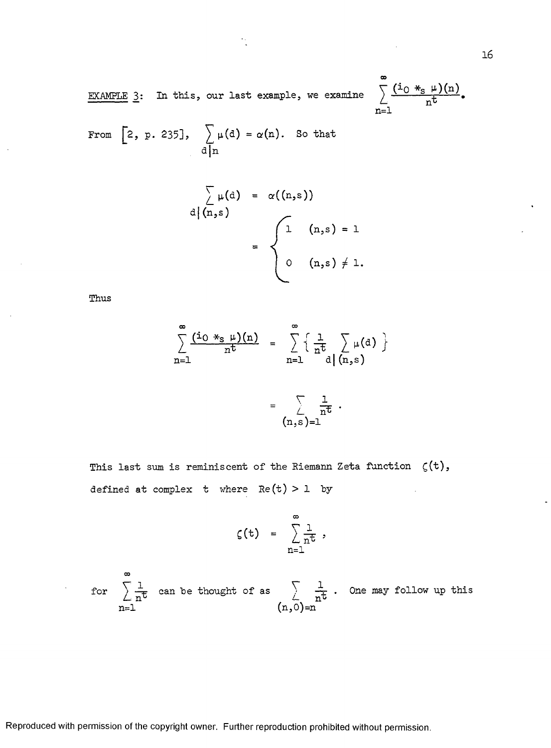EXAMPLE 3: In this, our last example, we examine

$$
\sum_{n=1}^{\infty} \frac{(\text{i}_0 *_{\text{s}} \mu)(n)}{n^{\text{t}}}.
$$

From [2, p. 235], 
$$
\sum_{d|n} \mu(d) = \alpha(n)
$$
. So that

$$
\sum_{a}^{\infty} \mu(a) = \alpha((n, s))
$$
  
= 
$$
\begin{cases} 1 & (n, s) = 1 \\ 0 & (n, s) \neq 1. \end{cases}
$$

Thus

$$
\sum_{n=1}^{\infty} \frac{(\text{i}_0 *_{s} \mu)(n)}{n^t} = \sum_{n=1}^{\infty} \left\{ \frac{1}{n^t} \sum_{d | (n,s)} \mu(d) \right\}
$$

$$
(\mathbf{n},\mathbf{s})=\mathbf{1}
$$

This last sum is reminiscent of the Riemann Zeta function  $\zeta(t)$ , defined at complex t where  $Re(t) > 1$  by

à,

$$
\zeta(t) = \sum_{n=1}^{\infty} \frac{1}{n^t},
$$

for  $\rangle$   $\frac{1}{\sqrt{1+t}}$  can be thought of as  $\rangle$  .  $\frac{1}{\sqrt{1+t}}$  . One may follow up this n=l (n,0)=n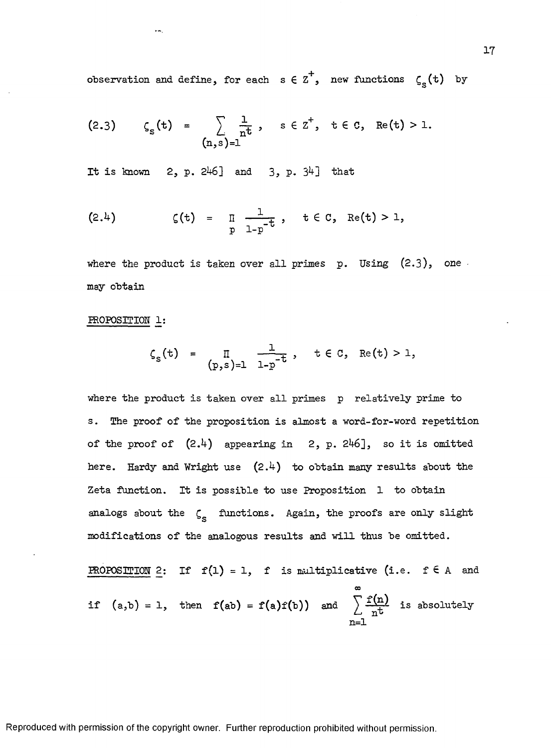observation and define, for each  $s \in \mathbb{Z}^4$ , new functions  $\zeta_{\rm s}( \texttt{t} )$  by

$$
(2.3) \t CS(t) = \sum_{n \text{at}} \frac{1}{n^{t}}, \t s \in Z^{+}, t \in C, \text{Re}(t) > 1.
$$

It is known  $2, p. 246$ ] and  $3, p. 34$ ] that

(2.4) 
$$
\zeta(t) = \prod_{p} \frac{1}{1-p^{-t}}, \quad t \in C, \quad \text{Re}(t) > 1,
$$

where the product is taken over all primes  $p.$  Using  $(2.3)$ , one may obtain

### PROPOSITION 1:

÷÷,

$$
\zeta_{s}(t) = \prod_{(p,s)=1} \frac{1}{1-p^{-t}}, \quad t \in C, \quad \text{Re}(t) > 1,
$$

where the product is taken over all primes p relatively prime to s. The proof of the proposition is almost a word-for-word repetition of the proof of  $(2.4)$  appearing in 2, p. 246], so it is omitted here. Hardy and Wright use  $(2.4)$  to obtain many results about the Zeta function. It is possible to use Proposition 1 to obtain analogs about the  $\zeta_{\rm s}$  functions. Again, the proofs are only slight modifications of the analogous results and will thus be omitted.

**PROPOSITION** 2: If 
$$
f(1) = 1
$$
,  $f$  is multiplicative (i.e.  $f \in A$  and  
if  $(a,b) = 1$ , then  $f(ab) = f(a)f(b)$  and  $\sum_{n=1}^{\infty} \frac{f(n)}{n^t}$  is absolutely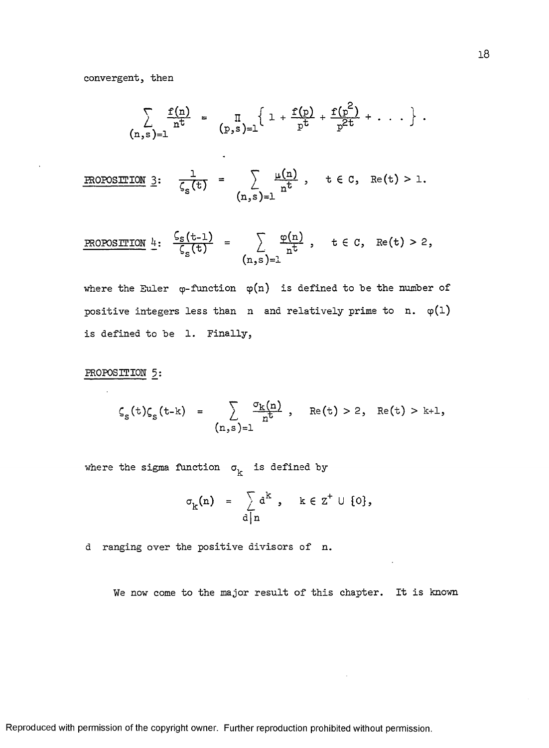convergent, then

$$
\sum_{(n,s)=1} \frac{f(n)}{n^t} = \prod_{(p,s)=1} \left\{ 1 + \frac{f(p)}{p^t} + \frac{f(p^2)}{p^{2t}} + \ldots \right\}.
$$

**PROPOSITION** 3: 
$$
\frac{1}{\zeta_s(t)} = \sum_{(n,s)=1} \frac{\mu(n)}{n^t}
$$
,  $t \in C$ , Re(t) > 1.

PROPOSITION 
$$
\underline{\mu}
$$
:  $\frac{\zeta_s(t-1)}{\zeta_s(t)} = \sum_{(n,s)=1} \frac{\varphi(n)}{n^t}$ ,  $t \in C$ , Re(t) > 2,

where the Euler  $\varphi$ -function  $\varphi(n)$  is defined to be the number of positive integers less than n and relatively prime to n.  $\varphi(1)$ is defined to be 1. Finally,

### PROPOSITION 5:

$$
\zeta_{s}(t)\zeta_{s}(t-k) = \sum_{(n,s)=1} \frac{\sigma_{k}(n)}{n^{t}}, \quad \text{Re}(t) > 2, \quad \text{Re}(t) > k+1,
$$

where the sigma function  $\sigma_k$  is defined by

$$
\sigma_{k}(n) = \sum_{d \mid n} d^{k}, \quad k \in \mathbb{Z}^{+} \cup \{0\},
$$

d ranging over the positive divisors of n.

We now come to the major result of this chapter. It is known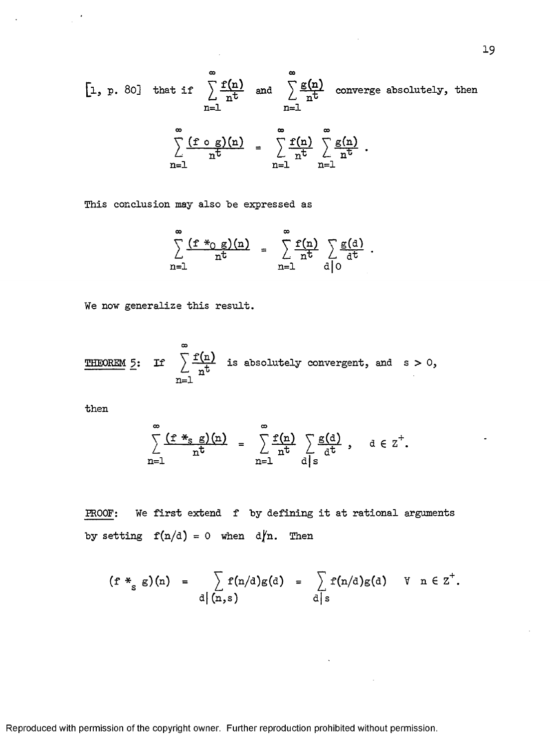[1, p. 80] that if 
$$
\sum_{n=1}^{\infty} \frac{f(n)}{n^t}
$$
 and  $\sum_{n=1}^{\infty} \frac{g(n)}{n^t}$  converge absolutely, then  

$$
\sum_{n=1}^{\infty} \frac{(f \circ g)(n)}{n^t} = \sum_{n=1}^{\infty} \frac{f(n)}{n^t} \sum_{n=1}^{\infty} \frac{g(n)}{n^t}.
$$

This conclusion may also be expressed as

$$
\sum_{n=1}^{\infty} \frac{(f *_{0} g)(n)}{n^{t}} = \sum_{n=1}^{\infty} \frac{f(n)}{n^{t}} \sum_{d \mid 0} \frac{g(d)}{d^{t}}.
$$

We now generalize this result.

**THEOREM** 5: If 
$$
\sum_{n=1}^{\infty} \frac{f(n)}{n^t}
$$
 is absolutely convergent, and s > 0,

 $then$ 

 $\bar{z}$ 

$$
\sum_{n=1}^{\infty} \frac{(f *_{s} g)(n)}{n^{t}} = \sum_{n=1}^{\infty} \frac{f(n)}{n^{t}} \sum_{d \mid s} \frac{g(d)}{d^{t}}, \quad d \in \mathbb{Z}^{+}.
$$

PROOF: We first extend f by defining it at rational arguments by setting  $f(n/d) = 0$  when  $d/n$ . Then

$$
(\mathbf{f} *_{\mathbf{g}} \mathbf{g})(\mathbf{n}) = \sum_{\mathbf{d} \mid (\mathbf{n}, \mathbf{s})} \mathbf{f}(\mathbf{n}/\mathbf{d}) \mathbf{g}(\mathbf{d}) = \sum_{\mathbf{d} \mid \mathbf{s}} \mathbf{f}(\mathbf{n}/\mathbf{d}) \mathbf{g}(\mathbf{d}) \quad \forall \quad \mathbf{n} \in \mathbf{Z}^+.
$$

 $\Delta$ 

Reproduced with permission of the copyright owner. Further reproduction prohibited without permission.

 $\overline{a}$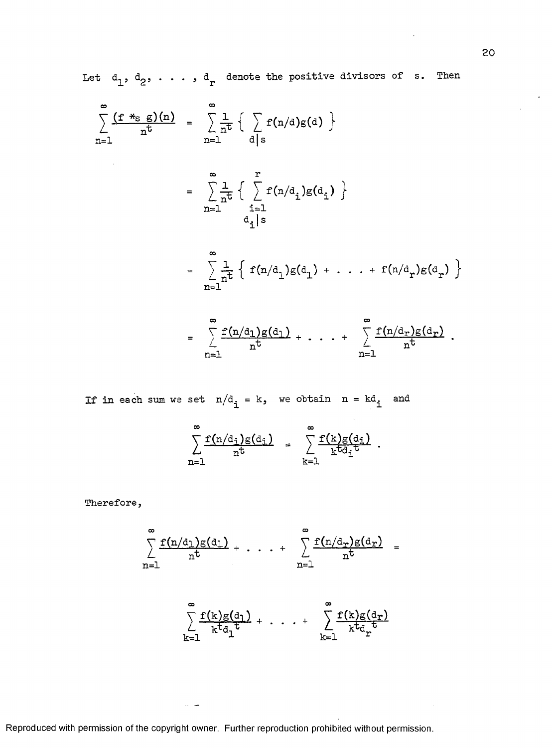Let  $d_1$ ,  $d_2$ , ...,  $d_r$  denote the positive divisors of s. Then

$$
\sum_{n=1}^{\infty} \frac{(f *_{s} g)(n)}{n^{t}} = \sum_{n=1}^{\infty} \frac{1}{n^{t}} \left\{ \sum_{d|s} f(n/d)g(d) \right\}
$$
\n
$$
= \sum_{n=1}^{\infty} \frac{1}{n^{t}} \left\{ \sum_{i=1}^{r} f(n/d_{i})g(d_{i}) \right\}
$$
\n
$$
= \sum_{n=1}^{\infty} \frac{1}{n^{t}} \left\{ f(n/d_{i})g(d_{1}) + \dots + f(n/d_{r})g(d_{r}) \right\}
$$
\n
$$
= \sum_{n=1}^{\infty} \frac{1}{n^{t}} \left\{ f(n/d_{i})g(d_{1}) + \dots + f(n/d_{r})g(d_{r}) \right\}
$$
\n
$$
\sum_{n=1}^{\infty} f(n/d_{n})g(d_{n}) \qquad \sum_{n=1}^{\infty} f(n/d_{n})g(d_{n})
$$

$$
= \sum_{n=1}^{\infty} \frac{f(n/d_1)g(d_1)}{n^t} + \cdots + \sum_{n=1}^{\infty} \frac{f(n/d_r)g(d_r)}{n^t}.
$$

If in each sum we set  $n/d_i = k$ , we obtain  $n = kd_i$  and

$$
\sum_{n=1}^{\infty} \frac{f(n/d_i)g(d_i)}{n^t} = \sum_{k=1}^{\infty} \frac{f(k)g(d_i)}{k^t d_i^t}.
$$

Therefore,

$$
\sum_{n=1}^{\infty} \frac{f(n/d_1)g(d_1)}{n^t} + \cdots + \sum_{n=1}^{\infty} \frac{f(n/d_r)g(d_r)}{n^t} =
$$

$$
\sum_{k=1}^{\infty} \frac{f(k)g(d_1)}{k^t d_1^t} + \cdots + \sum_{k=1}^{\infty} \frac{f(k)g(d_r)}{k^t d_r^t}
$$

Reproduced with permission of the copyright owner. Further reproduction prohibited without permission.

 $\sim$   $-$ 

 $\ddot{\phantom{a}}$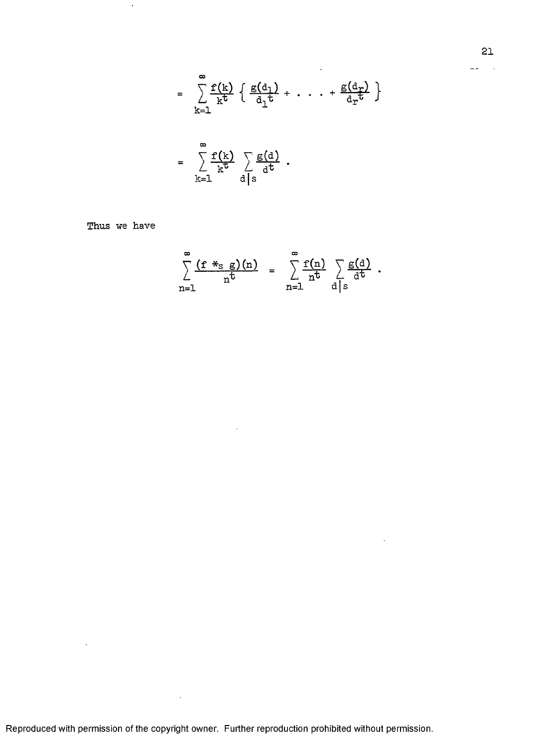$$
= \sum_{k=1}^{\infty} \frac{f(k)}{k^t} \left\{ \frac{g(d_1)}{d_1^t} + \cdots + \frac{g(d_r)}{d_r^t} \right\}
$$

$$
= \sum_{k=1}^{\infty} \frac{f(k)}{k^t} \sum_{\substack{d \mid s \\ d \mid s}} \frac{g(d)}{d^t}.
$$

 $\omega$ 

 $\ddot{\phantom{a}}$ 

Thus we have

 $\ddot{\phantom{a}}$ 

 $\ddot{\phantom{a}}$ 

$$
\sum_{n=1}^{\infty} \frac{(f *_{s} g)(n)}{n^{t}} = \sum_{n=1}^{\infty} \frac{f(n)}{n^{t}} \sum_{d|s} \frac{g(d)}{d^{t}}.
$$

Reproduced with permission of the copyright owner. Further reproduction prohibited without permission.

 $\sim 10$ 

 $\sim$ 

 $\sim$   $\sim$